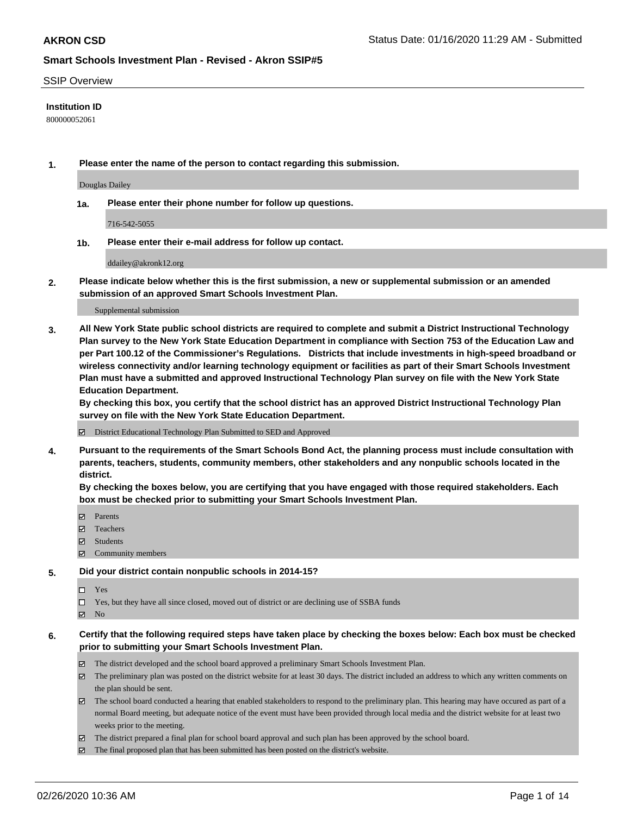### SSIP Overview

## **Institution ID**

800000052061

**1. Please enter the name of the person to contact regarding this submission.**

Douglas Dailey

**1a. Please enter their phone number for follow up questions.**

716-542-5055

**1b. Please enter their e-mail address for follow up contact.**

ddailey@akronk12.org

**2. Please indicate below whether this is the first submission, a new or supplemental submission or an amended submission of an approved Smart Schools Investment Plan.**

#### Supplemental submission

**3. All New York State public school districts are required to complete and submit a District Instructional Technology Plan survey to the New York State Education Department in compliance with Section 753 of the Education Law and per Part 100.12 of the Commissioner's Regulations. Districts that include investments in high-speed broadband or wireless connectivity and/or learning technology equipment or facilities as part of their Smart Schools Investment Plan must have a submitted and approved Instructional Technology Plan survey on file with the New York State Education Department.** 

**By checking this box, you certify that the school district has an approved District Instructional Technology Plan survey on file with the New York State Education Department.**

District Educational Technology Plan Submitted to SED and Approved

**4. Pursuant to the requirements of the Smart Schools Bond Act, the planning process must include consultation with parents, teachers, students, community members, other stakeholders and any nonpublic schools located in the district.** 

**By checking the boxes below, you are certifying that you have engaged with those required stakeholders. Each box must be checked prior to submitting your Smart Schools Investment Plan.**

- **マ** Parents
- Teachers
- Students
- Community members

## **5. Did your district contain nonpublic schools in 2014-15?**

 $\neg$  Yes

Yes, but they have all since closed, moved out of district or are declining use of SSBA funds

**Z** No

### **6. Certify that the following required steps have taken place by checking the boxes below: Each box must be checked prior to submitting your Smart Schools Investment Plan.**

- The district developed and the school board approved a preliminary Smart Schools Investment Plan.
- $\boxtimes$  The preliminary plan was posted on the district website for at least 30 days. The district included an address to which any written comments on the plan should be sent.
- $\boxtimes$  The school board conducted a hearing that enabled stakeholders to respond to the preliminary plan. This hearing may have occured as part of a normal Board meeting, but adequate notice of the event must have been provided through local media and the district website for at least two weeks prior to the meeting.
- The district prepared a final plan for school board approval and such plan has been approved by the school board.
- $\boxtimes$  The final proposed plan that has been submitted has been posted on the district's website.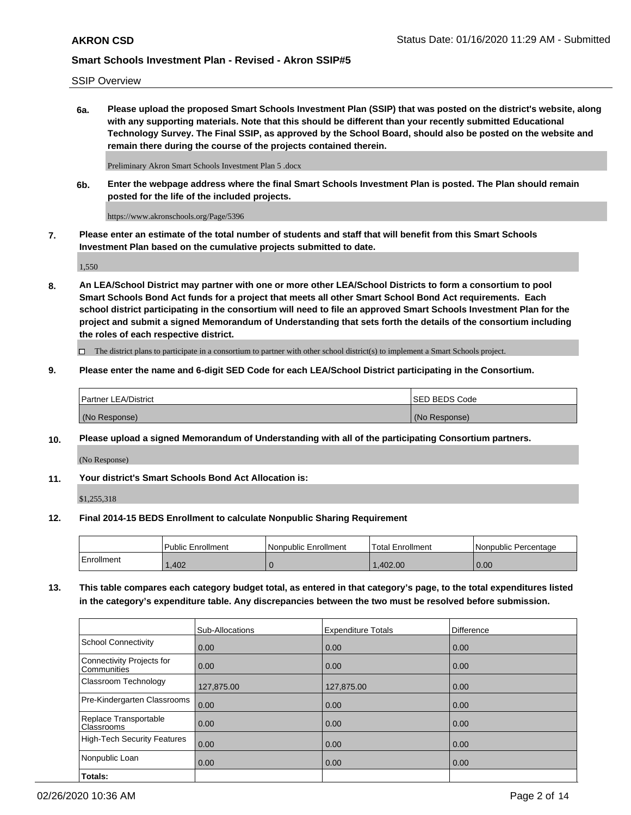SSIP Overview

**6a. Please upload the proposed Smart Schools Investment Plan (SSIP) that was posted on the district's website, along with any supporting materials. Note that this should be different than your recently submitted Educational Technology Survey. The Final SSIP, as approved by the School Board, should also be posted on the website and remain there during the course of the projects contained therein.**

Preliminary Akron Smart Schools Investment Plan 5 .docx

**6b. Enter the webpage address where the final Smart Schools Investment Plan is posted. The Plan should remain posted for the life of the included projects.**

https://www.akronschools.org/Page/5396

**7. Please enter an estimate of the total number of students and staff that will benefit from this Smart Schools Investment Plan based on the cumulative projects submitted to date.**

1,550

**8. An LEA/School District may partner with one or more other LEA/School Districts to form a consortium to pool Smart Schools Bond Act funds for a project that meets all other Smart School Bond Act requirements. Each school district participating in the consortium will need to file an approved Smart Schools Investment Plan for the project and submit a signed Memorandum of Understanding that sets forth the details of the consortium including the roles of each respective district.**

 $\Box$  The district plans to participate in a consortium to partner with other school district(s) to implement a Smart Schools project.

## **9. Please enter the name and 6-digit SED Code for each LEA/School District participating in the Consortium.**

| <b>Partner LEA/District</b> | <b>ISED BEDS Code</b> |
|-----------------------------|-----------------------|
| (No Response)               | (No Response)         |

## **10. Please upload a signed Memorandum of Understanding with all of the participating Consortium partners.**

(No Response)

**11. Your district's Smart Schools Bond Act Allocation is:**

\$1,255,318

## **12. Final 2014-15 BEDS Enrollment to calculate Nonpublic Sharing Requirement**

|            | Public Enrollment | Nonpublic Enrollment | <b>Total Enrollment</b> | Nonpublic Percentage |
|------------|-------------------|----------------------|-------------------------|----------------------|
| Enrollment | .402              |                      | .402.00                 | 0.00                 |

**13. This table compares each category budget total, as entered in that category's page, to the total expenditures listed in the category's expenditure table. Any discrepancies between the two must be resolved before submission.**

|                                          | Sub-Allocations | <b>Expenditure Totals</b> | <b>Difference</b> |
|------------------------------------------|-----------------|---------------------------|-------------------|
| <b>School Connectivity</b>               | 0.00            | 0.00                      | 0.00              |
| Connectivity Projects for<br>Communities | 0.00            | 0.00                      | 0.00              |
| Classroom Technology                     | 127,875.00      | 127,875.00                | 0.00              |
| Pre-Kindergarten Classrooms              | 0.00            | 0.00                      | 0.00              |
| Replace Transportable<br>Classrooms      | 0.00            | 0.00                      | 0.00              |
| <b>High-Tech Security Features</b>       | 0.00            | 0.00                      | 0.00              |
| Nonpublic Loan                           | 0.00            | 0.00                      | 0.00              |
| Totals:                                  |                 |                           |                   |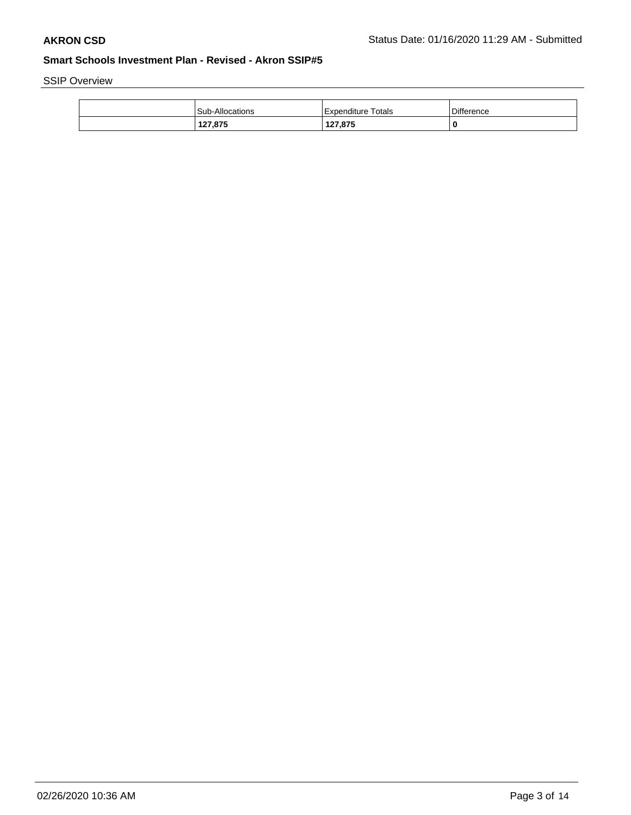SSIP Overview

| Sub-Allocations | Expenditure Totals | <b>Difference</b> |
|-----------------|--------------------|-------------------|
| 127,875         | 127,875            |                   |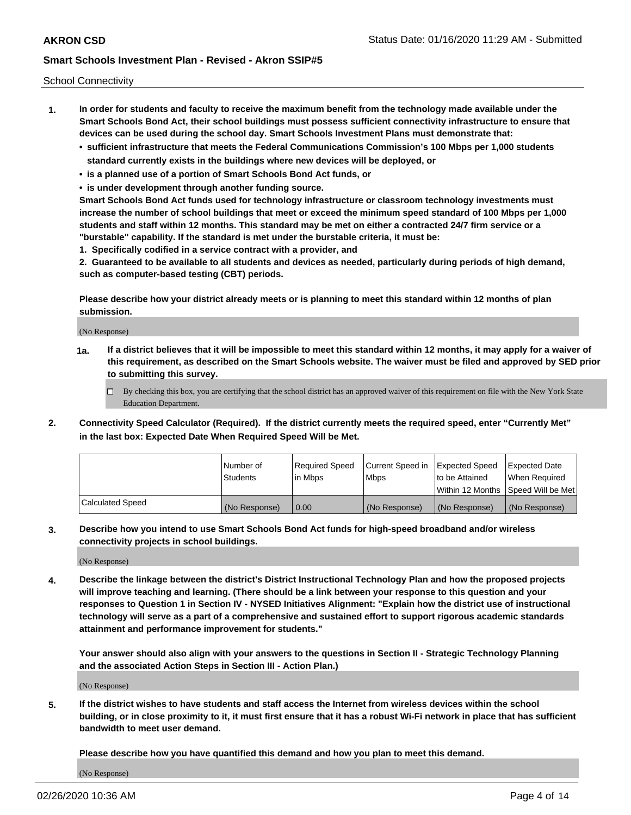School Connectivity

- **1. In order for students and faculty to receive the maximum benefit from the technology made available under the Smart Schools Bond Act, their school buildings must possess sufficient connectivity infrastructure to ensure that devices can be used during the school day. Smart Schools Investment Plans must demonstrate that:**
	- **• sufficient infrastructure that meets the Federal Communications Commission's 100 Mbps per 1,000 students standard currently exists in the buildings where new devices will be deployed, or**
	- **• is a planned use of a portion of Smart Schools Bond Act funds, or**
	- **• is under development through another funding source.**

**Smart Schools Bond Act funds used for technology infrastructure or classroom technology investments must increase the number of school buildings that meet or exceed the minimum speed standard of 100 Mbps per 1,000 students and staff within 12 months. This standard may be met on either a contracted 24/7 firm service or a "burstable" capability. If the standard is met under the burstable criteria, it must be:**

**1. Specifically codified in a service contract with a provider, and**

**2. Guaranteed to be available to all students and devices as needed, particularly during periods of high demand, such as computer-based testing (CBT) periods.**

**Please describe how your district already meets or is planning to meet this standard within 12 months of plan submission.**

(No Response)

**1a. If a district believes that it will be impossible to meet this standard within 12 months, it may apply for a waiver of this requirement, as described on the Smart Schools website. The waiver must be filed and approved by SED prior to submitting this survey.**

 $\Box$  By checking this box, you are certifying that the school district has an approved waiver of this requirement on file with the New York State Education Department.

**2. Connectivity Speed Calculator (Required). If the district currently meets the required speed, enter "Currently Met" in the last box: Expected Date When Required Speed Will be Met.**

|                  | l Number of     | Required Speed | Current Speed in | Expected Speed  | Expected Date                           |
|------------------|-----------------|----------------|------------------|-----------------|-----------------------------------------|
|                  | <b>Students</b> | In Mbps        | l Mbps           | to be Attained  | When Required                           |
|                  |                 |                |                  |                 | l Within 12 Months ISpeed Will be Met l |
| Calculated Speed | (No Response)   | 0.00           | (No Response)    | l (No Response) | l (No Response)                         |

**3. Describe how you intend to use Smart Schools Bond Act funds for high-speed broadband and/or wireless connectivity projects in school buildings.**

(No Response)

**4. Describe the linkage between the district's District Instructional Technology Plan and how the proposed projects will improve teaching and learning. (There should be a link between your response to this question and your responses to Question 1 in Section IV - NYSED Initiatives Alignment: "Explain how the district use of instructional technology will serve as a part of a comprehensive and sustained effort to support rigorous academic standards attainment and performance improvement for students."** 

**Your answer should also align with your answers to the questions in Section II - Strategic Technology Planning and the associated Action Steps in Section III - Action Plan.)**

(No Response)

**5. If the district wishes to have students and staff access the Internet from wireless devices within the school building, or in close proximity to it, it must first ensure that it has a robust Wi-Fi network in place that has sufficient bandwidth to meet user demand.**

**Please describe how you have quantified this demand and how you plan to meet this demand.**

(No Response)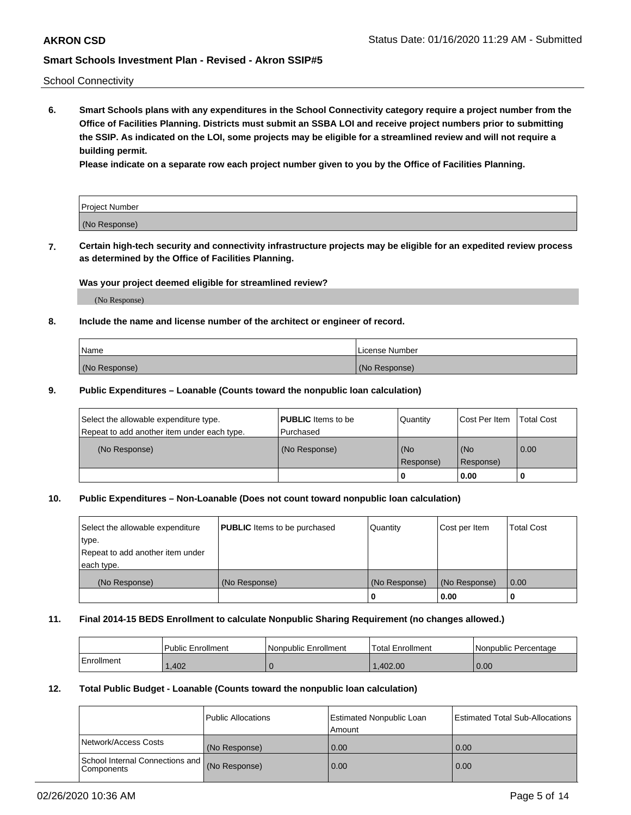School Connectivity

**6. Smart Schools plans with any expenditures in the School Connectivity category require a project number from the Office of Facilities Planning. Districts must submit an SSBA LOI and receive project numbers prior to submitting the SSIP. As indicated on the LOI, some projects may be eligible for a streamlined review and will not require a building permit.**

**Please indicate on a separate row each project number given to you by the Office of Facilities Planning.**

| Project Number |  |
|----------------|--|
| (No Response)  |  |

**7. Certain high-tech security and connectivity infrastructure projects may be eligible for an expedited review process as determined by the Office of Facilities Planning.**

## **Was your project deemed eligible for streamlined review?**

(No Response)

## **8. Include the name and license number of the architect or engineer of record.**

| Name          | License Number |
|---------------|----------------|
| (No Response) | (No Response)  |

### **9. Public Expenditures – Loanable (Counts toward the nonpublic loan calculation)**

| Select the allowable expenditure type.<br>Repeat to add another item under each type. | <b>PUBLIC</b> Items to be<br>l Purchased | Quantity           | Cost Per Item    | <b>Total Cost</b> |
|---------------------------------------------------------------------------------------|------------------------------------------|--------------------|------------------|-------------------|
| (No Response)                                                                         | (No Response)                            | l (No<br>Response) | (No<br>Response) | $\overline{0.00}$ |
|                                                                                       |                                          | 0                  | 0.00             |                   |

## **10. Public Expenditures – Non-Loanable (Does not count toward nonpublic loan calculation)**

| Select the allowable expenditure<br>type.      | <b>PUBLIC</b> Items to be purchased | Quantity      | Cost per Item | <b>Total Cost</b> |
|------------------------------------------------|-------------------------------------|---------------|---------------|-------------------|
| Repeat to add another item under<br>each type. |                                     |               |               |                   |
| (No Response)                                  | (No Response)                       | (No Response) | (No Response) | 0.00              |
|                                                |                                     |               | 0.00          |                   |

#### **11. Final 2014-15 BEDS Enrollment to calculate Nonpublic Sharing Requirement (no changes allowed.)**

|            | Public Enrollment | Nonpublic Enrollment | <b>Total Enrollment</b> | l Nonpublic Percentage |
|------------|-------------------|----------------------|-------------------------|------------------------|
| Enrollment | ,402              |                      | .402.00                 | 0.00                   |

### **12. Total Public Budget - Loanable (Counts toward the nonpublic loan calculation)**

|                                                      | Public Allocations | <b>Estimated Nonpublic Loan</b><br>Amount | Estimated Total Sub-Allocations |
|------------------------------------------------------|--------------------|-------------------------------------------|---------------------------------|
| Network/Access Costs                                 | (No Response)      | 0.00                                      | 0.00                            |
| School Internal Connections and<br><b>Components</b> | (No Response)      | 0.00                                      | 0.00                            |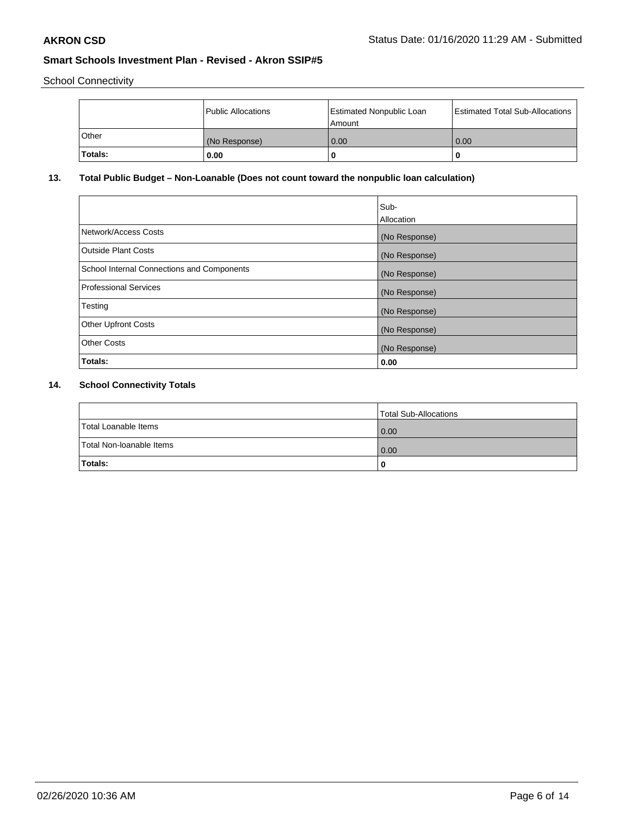School Connectivity

|         | Public Allocations | <b>Estimated Nonpublic Loan</b><br>l Amount | <b>Estimated Total Sub-Allocations</b> |
|---------|--------------------|---------------------------------------------|----------------------------------------|
| l Other | (No Response)      | 0.00                                        | 0.00                                   |
| Totals: | 0.00               | 0                                           |                                        |

# **13. Total Public Budget – Non-Loanable (Does not count toward the nonpublic loan calculation)**

|                                                   | Sub-<br>Allocation |
|---------------------------------------------------|--------------------|
| Network/Access Costs                              | (No Response)      |
| Outside Plant Costs                               | (No Response)      |
| <b>School Internal Connections and Components</b> | (No Response)      |
| Professional Services                             | (No Response)      |
| Testing                                           | (No Response)      |
| <b>Other Upfront Costs</b>                        | (No Response)      |
| <b>Other Costs</b>                                | (No Response)      |
| Totals:                                           | 0.00               |

# **14. School Connectivity Totals**

|                          | Total Sub-Allocations |
|--------------------------|-----------------------|
| Total Loanable Items     | 0.00                  |
| Total Non-Ioanable Items | 0.00                  |
| Totals:                  | 0                     |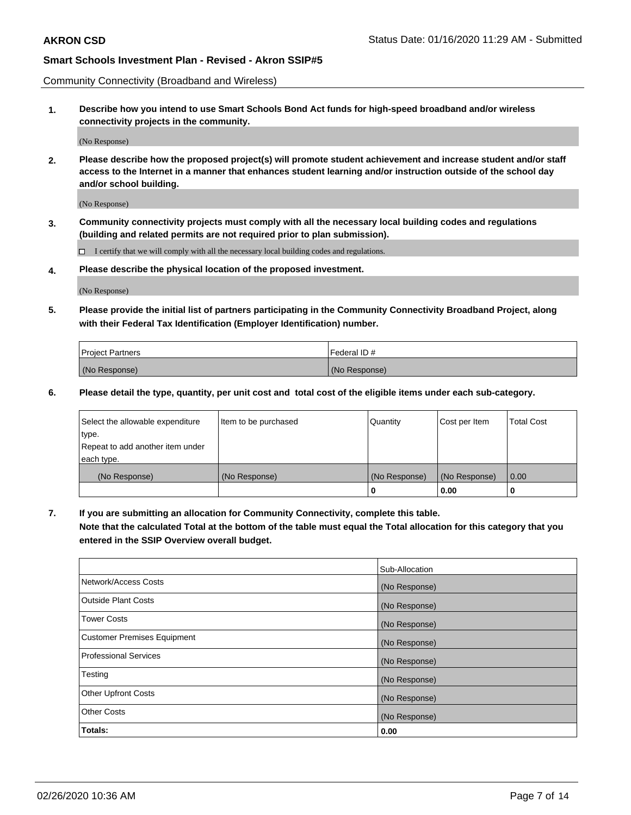Community Connectivity (Broadband and Wireless)

**1. Describe how you intend to use Smart Schools Bond Act funds for high-speed broadband and/or wireless connectivity projects in the community.**

(No Response)

**2. Please describe how the proposed project(s) will promote student achievement and increase student and/or staff access to the Internet in a manner that enhances student learning and/or instruction outside of the school day and/or school building.**

(No Response)

**3. Community connectivity projects must comply with all the necessary local building codes and regulations (building and related permits are not required prior to plan submission).**

 $\Box$  I certify that we will comply with all the necessary local building codes and regulations.

**4. Please describe the physical location of the proposed investment.**

(No Response)

**5. Please provide the initial list of partners participating in the Community Connectivity Broadband Project, along with their Federal Tax Identification (Employer Identification) number.**

| <b>Project Partners</b> | l Federal ID # |
|-------------------------|----------------|
| (No Response)           | (No Response)  |

**6. Please detail the type, quantity, per unit cost and total cost of the eligible items under each sub-category.**

| Select the allowable expenditure | Item to be purchased | Quantity      | Cost per Item | <b>Total Cost</b> |
|----------------------------------|----------------------|---------------|---------------|-------------------|
| type.                            |                      |               |               |                   |
| Repeat to add another item under |                      |               |               |                   |
| each type.                       |                      |               |               |                   |
| (No Response)                    | (No Response)        | (No Response) | (No Response) | 0.00              |
|                                  |                      | o             | 0.00          |                   |

**7. If you are submitting an allocation for Community Connectivity, complete this table.**

**Note that the calculated Total at the bottom of the table must equal the Total allocation for this category that you entered in the SSIP Overview overall budget.**

|                                    | Sub-Allocation |
|------------------------------------|----------------|
| Network/Access Costs               | (No Response)  |
| Outside Plant Costs                | (No Response)  |
| <b>Tower Costs</b>                 | (No Response)  |
| <b>Customer Premises Equipment</b> | (No Response)  |
| <b>Professional Services</b>       | (No Response)  |
| Testing                            | (No Response)  |
| <b>Other Upfront Costs</b>         | (No Response)  |
| <b>Other Costs</b>                 | (No Response)  |
| Totals:                            | 0.00           |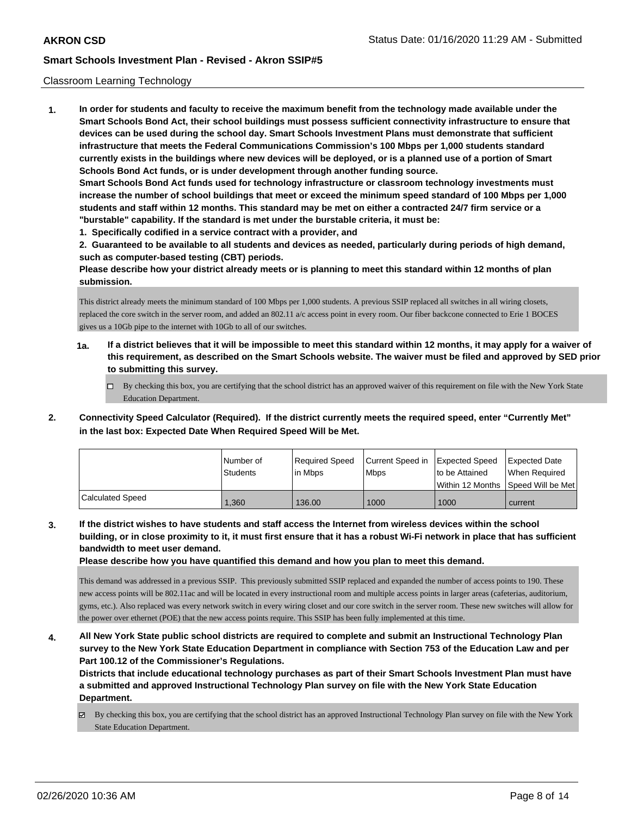### Classroom Learning Technology

**1. In order for students and faculty to receive the maximum benefit from the technology made available under the Smart Schools Bond Act, their school buildings must possess sufficient connectivity infrastructure to ensure that devices can be used during the school day. Smart Schools Investment Plans must demonstrate that sufficient infrastructure that meets the Federal Communications Commission's 100 Mbps per 1,000 students standard currently exists in the buildings where new devices will be deployed, or is a planned use of a portion of Smart Schools Bond Act funds, or is under development through another funding source. Smart Schools Bond Act funds used for technology infrastructure or classroom technology investments must increase the number of school buildings that meet or exceed the minimum speed standard of 100 Mbps per 1,000 students and staff within 12 months. This standard may be met on either a contracted 24/7 firm service or a "burstable" capability. If the standard is met under the burstable criteria, it must be: 1. Specifically codified in a service contract with a provider, and**

**2. Guaranteed to be available to all students and devices as needed, particularly during periods of high demand, such as computer-based testing (CBT) periods.**

**Please describe how your district already meets or is planning to meet this standard within 12 months of plan submission.**

This district already meets the minimum standard of 100 Mbps per 1,000 students. A previous SSIP replaced all switches in all wiring closets, replaced the core switch in the server room, and added an 802.11 a/c access point in every room. Our fiber backcone connected to Erie 1 BOCES gives us a 10Gb pipe to the internet with 10Gb to all of our switches.

- **1a. If a district believes that it will be impossible to meet this standard within 12 months, it may apply for a waiver of this requirement, as described on the Smart Schools website. The waiver must be filed and approved by SED prior to submitting this survey.**
	- By checking this box, you are certifying that the school district has an approved waiver of this requirement on file with the New York State Education Department.
- **2. Connectivity Speed Calculator (Required). If the district currently meets the required speed, enter "Currently Met" in the last box: Expected Date When Required Speed Will be Met.**

|                  | l Number of<br>Students | Required Speed<br>lin Mbps | Current Speed in Expected Speed<br><b>Mbps</b> | Ito be Attained  | Expected Date<br>When Reauired |
|------------------|-------------------------|----------------------------|------------------------------------------------|------------------|--------------------------------|
|                  |                         |                            |                                                | Within 12 Months | Speed Will be Met              |
| Calculated Speed | .360                    | 136.00                     | 1000                                           | 1000             | current                        |

**3. If the district wishes to have students and staff access the Internet from wireless devices within the school building, or in close proximity to it, it must first ensure that it has a robust Wi-Fi network in place that has sufficient bandwidth to meet user demand.**

**Please describe how you have quantified this demand and how you plan to meet this demand.**

This demand was addressed in a previous SSIP. This previously submitted SSIP replaced and expanded the number of access points to 190. These new access points will be 802.11ac and will be located in every instructional room and multiple access points in larger areas (cafeterias, auditorium, gyms, etc.). Also replaced was every network switch in every wiring closet and our core switch in the server room. These new switches will allow for the power over ethernet (POE) that the new access points require. This SSIP has been fully implemented at this time.

**4. All New York State public school districts are required to complete and submit an Instructional Technology Plan survey to the New York State Education Department in compliance with Section 753 of the Education Law and per Part 100.12 of the Commissioner's Regulations.**

**Districts that include educational technology purchases as part of their Smart Schools Investment Plan must have a submitted and approved Instructional Technology Plan survey on file with the New York State Education Department.**

 $\boxtimes$  By checking this box, you are certifying that the school district has an approved Instructional Technology Plan survey on file with the New York State Education Department.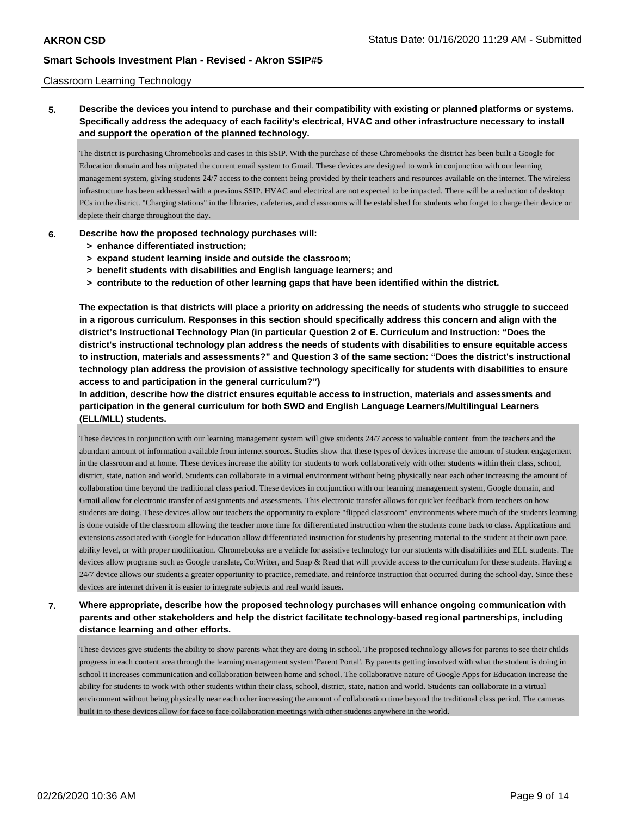## Classroom Learning Technology

**5. Describe the devices you intend to purchase and their compatibility with existing or planned platforms or systems. Specifically address the adequacy of each facility's electrical, HVAC and other infrastructure necessary to install and support the operation of the planned technology.**

The district is purchasing Chromebooks and cases in this SSIP. With the purchase of these Chromebooks the district has been built a Google for Education domain and has migrated the current email system to Gmail. These devices are designed to work in conjunction with our learning management system, giving students 24/7 access to the content being provided by their teachers and resources available on the internet. The wireless infrastructure has been addressed with a previous SSIP. HVAC and electrical are not expected to be impacted. There will be a reduction of desktop PCs in the district. "Charging stations" in the libraries, cafeterias, and classrooms will be established for students who forget to charge their device or deplete their charge throughout the day.

### **6. Describe how the proposed technology purchases will:**

- **> enhance differentiated instruction;**
- **> expand student learning inside and outside the classroom;**
- **> benefit students with disabilities and English language learners; and**
- **> contribute to the reduction of other learning gaps that have been identified within the district.**

**The expectation is that districts will place a priority on addressing the needs of students who struggle to succeed in a rigorous curriculum. Responses in this section should specifically address this concern and align with the district's Instructional Technology Plan (in particular Question 2 of E. Curriculum and Instruction: "Does the district's instructional technology plan address the needs of students with disabilities to ensure equitable access to instruction, materials and assessments?" and Question 3 of the same section: "Does the district's instructional technology plan address the provision of assistive technology specifically for students with disabilities to ensure access to and participation in the general curriculum?")**

**In addition, describe how the district ensures equitable access to instruction, materials and assessments and participation in the general curriculum for both SWD and English Language Learners/Multilingual Learners (ELL/MLL) students.**

These devices in conjunction with our learning management system will give students 24/7 access to valuable content from the teachers and the abundant amount of information available from internet sources. Studies show that these types of devices increase the amount of student engagement in the classroom and at home. These devices increase the ability for students to work collaboratively with other students within their class, school, district, state, nation and world. Students can collaborate in a virtual environment without being physically near each other increasing the amount of collaboration time beyond the traditional class period. These devices in conjunction with our learning management system, Google domain, and Gmail allow for electronic transfer of assignments and assessments. This electronic transfer allows for quicker feedback from teachers on how students are doing. These devices allow our teachers the opportunity to explore "flipped classroom" environments where much of the students learning is done outside of the classroom allowing the teacher more time for differentiated instruction when the students come back to class. Applications and extensions associated with Google for Education allow differentiated instruction for students by presenting material to the student at their own pace, ability level, or with proper modification. Chromebooks are a vehicle for assistive technology for our students with disabilities and ELL students. The devices allow programs such as Google translate, Co:Writer, and Snap & Read that will provide access to the curriculum for these students. Having a 24/7 device allows our students a greater opportunity to practice, remediate, and reinforce instruction that occurred during the school day. Since these devices are internet driven it is easier to integrate subjects and real world issues.

# **7. Where appropriate, describe how the proposed technology purchases will enhance ongoing communication with parents and other stakeholders and help the district facilitate technology-based regional partnerships, including distance learning and other efforts.**

These devices give students the ability to show parents what they are doing in school. The proposed technology allows for parents to see their childs progress in each content area through the learning management system 'Parent Portal'. By parents getting involved with what the student is doing in school it increases communication and collaboration between home and school. The collaborative nature of Google Apps for Education increase the ability for students to work with other students within their class, school, district, state, nation and world. Students can collaborate in a virtual environment without being physically near each other increasing the amount of collaboration time beyond the traditional class period. The cameras built in to these devices allow for face to face collaboration meetings with other students anywhere in the world.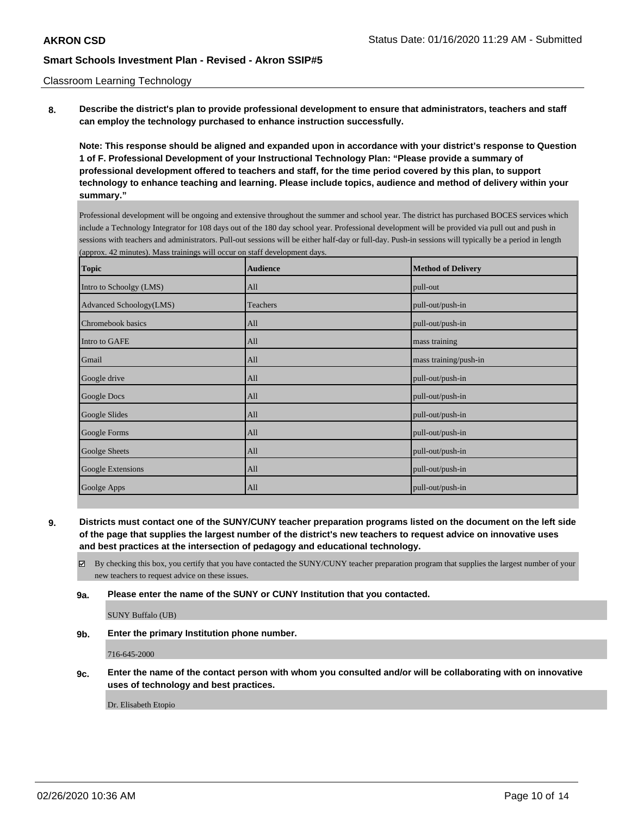### Classroom Learning Technology

**8. Describe the district's plan to provide professional development to ensure that administrators, teachers and staff can employ the technology purchased to enhance instruction successfully.**

**Note: This response should be aligned and expanded upon in accordance with your district's response to Question 1 of F. Professional Development of your Instructional Technology Plan: "Please provide a summary of professional development offered to teachers and staff, for the time period covered by this plan, to support technology to enhance teaching and learning. Please include topics, audience and method of delivery within your summary."**

Professional development will be ongoing and extensive throughout the summer and school year. The district has purchased BOCES services which include a Technology Integrator for 108 days out of the 180 day school year. Professional development will be provided via pull out and push in sessions with teachers and administrators. Pull-out sessions will be either half-day or full-day. Push-in sessions will typically be a period in length (approx. 42 minutes). Mass trainings will occur on staff development days.

| <b>Topic</b>            | <b>Audience</b> | <b>Method of Delivery</b> |
|-------------------------|-----------------|---------------------------|
| Intro to Schoolgy (LMS) | All             | pull-out                  |
| Advanced Schoology(LMS) | Teachers        | pull-out/push-in          |
| Chromebook basics       | All             | pull-out/push-in          |
| Intro to GAFE           | All             | mass training             |
| Gmail                   | All             | mass training/push-in     |
| Google drive            | All             | pull-out/push-in          |
| Google Docs             | All             | pull-out/push-in          |
| Google Slides           | All             | pull-out/push-in          |
| Google Forms            | All             | pull-out/push-in          |
| Goolge Sheets           | All             | pull-out/push-in          |
| Google Extensions       | All             | pull-out/push-in          |
| Goolge Apps             | All             | pull-out/push-in          |

**9. Districts must contact one of the SUNY/CUNY teacher preparation programs listed on the document on the left side of the page that supplies the largest number of the district's new teachers to request advice on innovative uses and best practices at the intersection of pedagogy and educational technology.**

By checking this box, you certify that you have contacted the SUNY/CUNY teacher preparation program that supplies the largest number of your new teachers to request advice on these issues.

**9a. Please enter the name of the SUNY or CUNY Institution that you contacted.**

SUNY Buffalo (UB)

**9b. Enter the primary Institution phone number.**

716-645-2000

**9c. Enter the name of the contact person with whom you consulted and/or will be collaborating with on innovative uses of technology and best practices.**

Dr. Elisabeth Etopio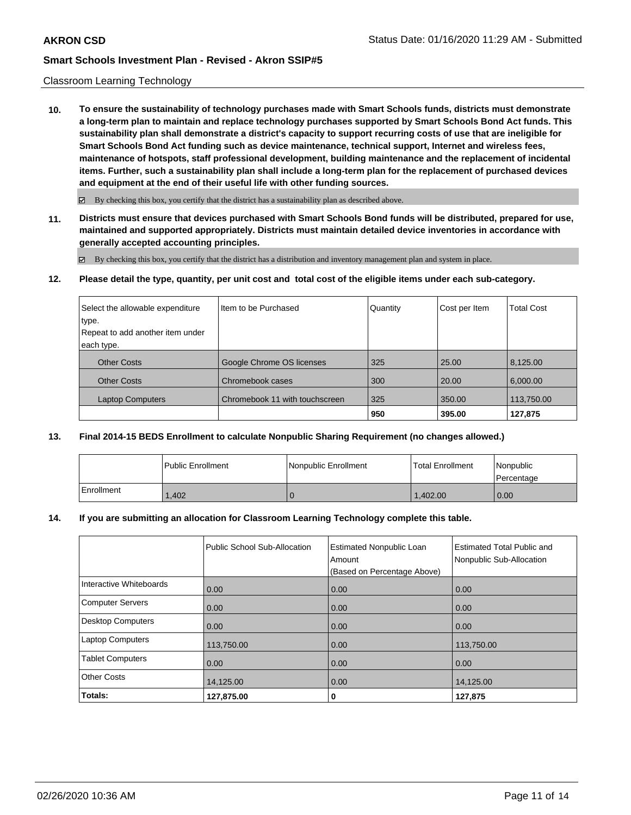### Classroom Learning Technology

**10. To ensure the sustainability of technology purchases made with Smart Schools funds, districts must demonstrate a long-term plan to maintain and replace technology purchases supported by Smart Schools Bond Act funds. This sustainability plan shall demonstrate a district's capacity to support recurring costs of use that are ineligible for Smart Schools Bond Act funding such as device maintenance, technical support, Internet and wireless fees, maintenance of hotspots, staff professional development, building maintenance and the replacement of incidental items. Further, such a sustainability plan shall include a long-term plan for the replacement of purchased devices and equipment at the end of their useful life with other funding sources.**

 $\boxtimes$  By checking this box, you certify that the district has a sustainability plan as described above.

**11. Districts must ensure that devices purchased with Smart Schools Bond funds will be distributed, prepared for use, maintained and supported appropriately. Districts must maintain detailed device inventories in accordance with generally accepted accounting principles.**

By checking this box, you certify that the district has a distribution and inventory management plan and system in place.

**12. Please detail the type, quantity, per unit cost and total cost of the eligible items under each sub-category.**

| Select the allowable expenditure | Iltem to be Purchased          | Quantity | Cost per Item | <b>Total Cost</b> |
|----------------------------------|--------------------------------|----------|---------------|-------------------|
| type.                            |                                |          |               |                   |
| Repeat to add another item under |                                |          |               |                   |
| each type.                       |                                |          |               |                   |
| <b>Other Costs</b>               | Google Chrome OS licenses      | 325      | 25.00         | 8,125.00          |
| <b>Other Costs</b>               | Chromebook cases               | 300      | 20.00         | 6,000.00          |
| <b>Laptop Computers</b>          | Chromebook 11 with touchscreen | 325      | 350.00        | 113,750.00        |
|                                  |                                | 950      | 395.00        | 127,875           |

## **13. Final 2014-15 BEDS Enrollment to calculate Nonpublic Sharing Requirement (no changes allowed.)**

|            | Public Enrollment | Nonpublic Enrollment | Total Enrollment | Nonpublic<br>l Percentage |
|------------|-------------------|----------------------|------------------|---------------------------|
| Enrollment | 1.402             |                      | 1.402.00         | 0.00                      |

### **14. If you are submitting an allocation for Classroom Learning Technology complete this table.**

|                         | Public School Sub-Allocation | <b>Estimated Nonpublic Loan</b><br>Amount<br>(Based on Percentage Above) | <b>Estimated Total Public and</b><br>Nonpublic Sub-Allocation |
|-------------------------|------------------------------|--------------------------------------------------------------------------|---------------------------------------------------------------|
| Interactive Whiteboards | 0.00                         | 0.00                                                                     | 0.00                                                          |
| Computer Servers        | 0.00                         | 0.00                                                                     | 0.00                                                          |
| Desktop Computers       | 0.00                         | 0.00                                                                     | 0.00                                                          |
| <b>Laptop Computers</b> | 113,750.00                   | 0.00                                                                     | 113,750.00                                                    |
| <b>Tablet Computers</b> | 0.00                         | 0.00                                                                     | 0.00                                                          |
| <b>Other Costs</b>      | 14,125.00                    | 0.00                                                                     | 14,125.00                                                     |
| Totals:                 | 127,875.00                   | 0                                                                        | 127,875                                                       |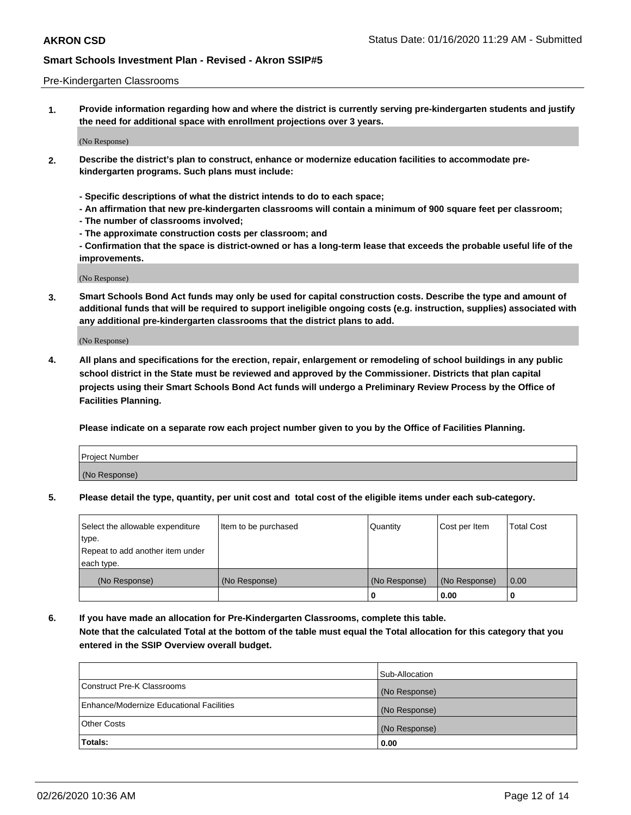### Pre-Kindergarten Classrooms

**1. Provide information regarding how and where the district is currently serving pre-kindergarten students and justify the need for additional space with enrollment projections over 3 years.**

(No Response)

- **2. Describe the district's plan to construct, enhance or modernize education facilities to accommodate prekindergarten programs. Such plans must include:**
	- **Specific descriptions of what the district intends to do to each space;**
	- **An affirmation that new pre-kindergarten classrooms will contain a minimum of 900 square feet per classroom;**
	- **The number of classrooms involved;**
	- **The approximate construction costs per classroom; and**
	- **Confirmation that the space is district-owned or has a long-term lease that exceeds the probable useful life of the improvements.**

(No Response)

**3. Smart Schools Bond Act funds may only be used for capital construction costs. Describe the type and amount of additional funds that will be required to support ineligible ongoing costs (e.g. instruction, supplies) associated with any additional pre-kindergarten classrooms that the district plans to add.**

(No Response)

**4. All plans and specifications for the erection, repair, enlargement or remodeling of school buildings in any public school district in the State must be reviewed and approved by the Commissioner. Districts that plan capital projects using their Smart Schools Bond Act funds will undergo a Preliminary Review Process by the Office of Facilities Planning.**

**Please indicate on a separate row each project number given to you by the Office of Facilities Planning.**

| Project Number |  |
|----------------|--|
| (No Response)  |  |
|                |  |

**5. Please detail the type, quantity, per unit cost and total cost of the eligible items under each sub-category.**

| Select the allowable expenditure | Item to be purchased | Quantity      | Cost per Item | <b>Total Cost</b> |
|----------------------------------|----------------------|---------------|---------------|-------------------|
| type.                            |                      |               |               |                   |
| Repeat to add another item under |                      |               |               |                   |
| each type.                       |                      |               |               |                   |
| (No Response)                    | (No Response)        | (No Response) | (No Response) | 0.00              |
|                                  |                      | υ             | 0.00          |                   |

**6. If you have made an allocation for Pre-Kindergarten Classrooms, complete this table. Note that the calculated Total at the bottom of the table must equal the Total allocation for this category that you entered in the SSIP Overview overall budget.**

|                                          | Sub-Allocation |
|------------------------------------------|----------------|
| Construct Pre-K Classrooms               | (No Response)  |
| Enhance/Modernize Educational Facilities | (No Response)  |
| <b>Other Costs</b>                       | (No Response)  |
| Totals:                                  | 0.00           |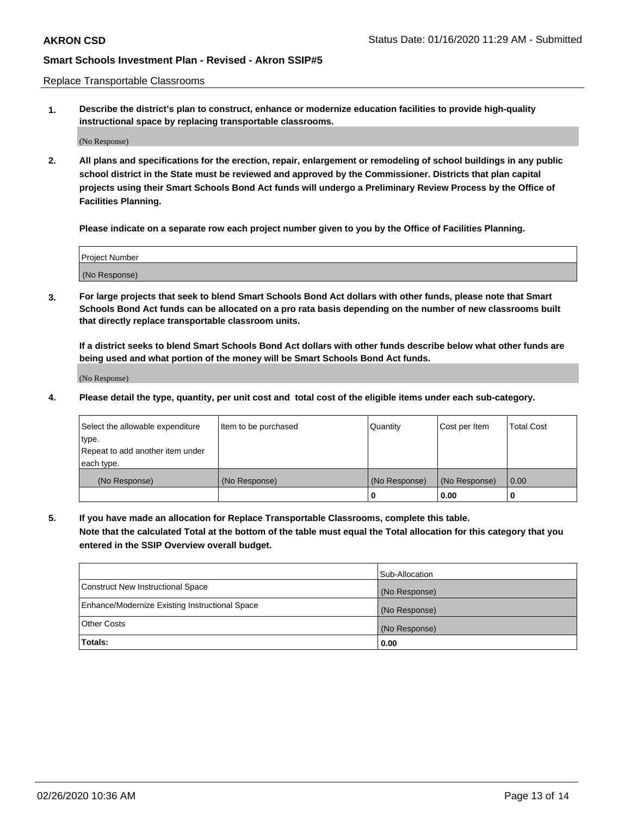Replace Transportable Classrooms

**1. Describe the district's plan to construct, enhance or modernize education facilities to provide high-quality instructional space by replacing transportable classrooms.**

(No Response)

**2. All plans and specifications for the erection, repair, enlargement or remodeling of school buildings in any public school district in the State must be reviewed and approved by the Commissioner. Districts that plan capital projects using their Smart Schools Bond Act funds will undergo a Preliminary Review Process by the Office of Facilities Planning.**

**Please indicate on a separate row each project number given to you by the Office of Facilities Planning.**

| Project Number |  |
|----------------|--|
|                |  |
|                |  |
|                |  |
| (No Response)  |  |
|                |  |
|                |  |

**3. For large projects that seek to blend Smart Schools Bond Act dollars with other funds, please note that Smart Schools Bond Act funds can be allocated on a pro rata basis depending on the number of new classrooms built that directly replace transportable classroom units.**

**If a district seeks to blend Smart Schools Bond Act dollars with other funds describe below what other funds are being used and what portion of the money will be Smart Schools Bond Act funds.**

(No Response)

**4. Please detail the type, quantity, per unit cost and total cost of the eligible items under each sub-category.**

| Select the allowable expenditure | Item to be purchased | Quantity      | Cost per Item | Total Cost |
|----------------------------------|----------------------|---------------|---------------|------------|
| ∣type.                           |                      |               |               |            |
| Repeat to add another item under |                      |               |               |            |
| each type.                       |                      |               |               |            |
| (No Response)                    | (No Response)        | (No Response) | (No Response) | 0.00       |
|                                  |                      | u             | 0.00          |            |

**5. If you have made an allocation for Replace Transportable Classrooms, complete this table. Note that the calculated Total at the bottom of the table must equal the Total allocation for this category that you entered in the SSIP Overview overall budget.**

|                                                | Sub-Allocation |
|------------------------------------------------|----------------|
| Construct New Instructional Space              | (No Response)  |
| Enhance/Modernize Existing Instructional Space | (No Response)  |
| <b>Other Costs</b>                             | (No Response)  |
| Totals:                                        | 0.00           |